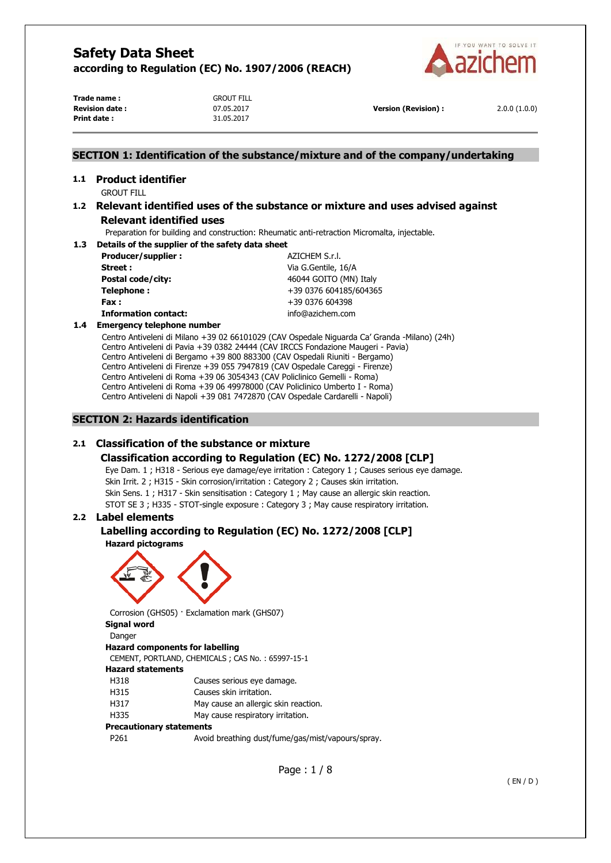

**Trade name :** GROUT FILL **Revision date :** 07.05.2017 **Version (Revision) :** 2.0.0 (1.0.0) **Print date :** 31.05.2017

## **SECTION 1: Identification of the substance/mixture and of the company/undertaking**

# **1.1 Product identifier**

GROUT FILL

## **1.2 Relevant identified uses of the substance or mixture and uses advised against Relevant identified uses**

Preparation for building and construction: Rheumatic anti-retraction Micromalta, injectable.

**1.3 Details of the supplier of the safety data sheet Producer/supplier :**  $AZICHEM S.r.l.$ 

**Street :** Via G.Gentile, 16/A **Postal code/city:**  $46044 \text{ GOITO (MN) Italy}$ **Telephone :**  $+39\,0376\,604185/604365$ **Fax :** +39 0376 604398 **Information contact:** info@azichem.com

## **1.4 Emergency telephone number**

Centro Antiveleni di Milano +39 02 66101029 (CAV Ospedale Niguarda Ca' Granda -Milano) (24h) Centro Antiveleni di Pavia +39 0382 24444 (CAV IRCCS Fondazione Maugeri - Pavia) Centro Antiveleni di Bergamo +39 800 883300 (CAV Ospedali Riuniti - Bergamo) Centro Antiveleni di Firenze +39 055 7947819 (CAV Ospedale Careggi - Firenze) Centro Antiveleni di Roma +39 06 3054343 (CAV Policlinico Gemelli - Roma) Centro Antiveleni di Roma +39 06 49978000 (CAV Policlinico Umberto I - Roma) Centro Antiveleni di Napoli +39 081 7472870 (CAV Ospedale Cardarelli - Napoli)

## **SECTION 2: Hazards identification**

## **2.1 Classification of the substance or mixture**

# **Classification according to Regulation (EC) No. 1272/2008 [CLP]**

Eye Dam. 1 ; H318 - Serious eye damage/eye irritation : Category 1 ; Causes serious eye damage. Skin Irrit. 2 ; H315 - Skin corrosion/irritation : Category 2 ; Causes skin irritation. Skin Sens. 1 ; H317 - Skin sensitisation : Category 1 ; May cause an allergic skin reaction. STOT SE 3 ; H335 - STOT-single exposure : Category 3 ; May cause respiratory irritation.

## **2.2 Label elements**

#### **Labelling according to Regulation (EC) No. 1272/2008 [CLP] Hazard pictograms**



Corrosion (GHS05) · Exclamation mark (GHS07) **Signal word**  Danger

#### **Hazard components for labelling**  CEMENT, PORTLAND, CHEMICALS ; CAS No. : 65997-15-1 **Hazard statements**

H318 Causes serious eye damage. H315 Causes skin irritation. H317 May cause an allergic skin reaction. H335 May cause respiratory irritation.

## **Precautionary statements**

| P <sub>261</sub> | Avoid breathing dust/fume/gas/mist/vapours/spray. |
|------------------|---------------------------------------------------|
|                  |                                                   |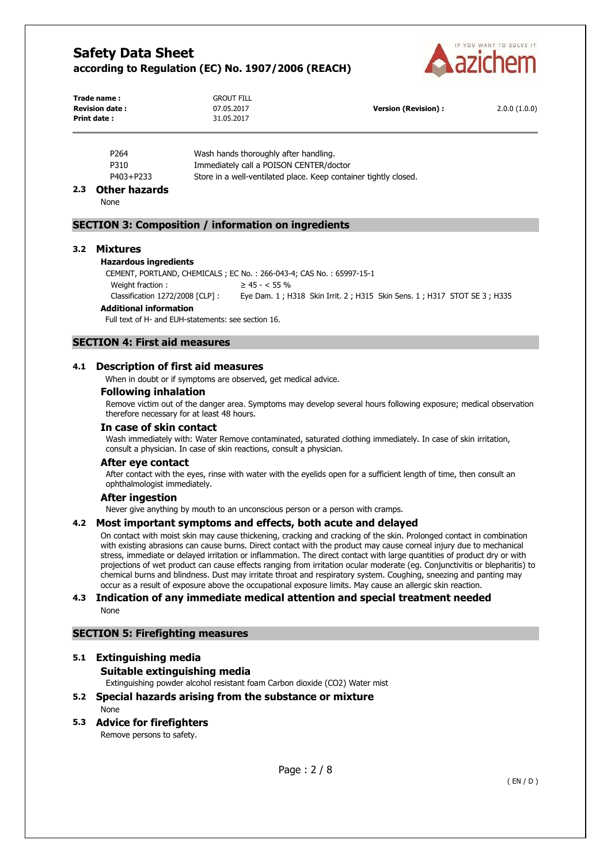

| Trade name:           | <b>GROUT FILL</b> |                            |              |
|-----------------------|-------------------|----------------------------|--------------|
| <b>Revision date:</b> | 07.05.2017        | <b>Version (Revision):</b> | 2.0.0(1.0.0) |
| Print date:           | 31.05.2017        |                            |              |

| P <sub>264</sub> | Wash hands thoroughly after handling.                            |
|------------------|------------------------------------------------------------------|
| P310             | Immediately call a POISON CENTER/doctor                          |
| P403+P233        | Store in a well-ventilated place. Keep container tightly closed. |
|                  |                                                                  |

#### **2.3 Other hazards**

None

## **SECTION 3: Composition / information on ingredients**

#### **3.2 Mixtures**

#### **Hazardous ingredients**

CEMENT, PORTLAND, CHEMICALS ; EC No. : 266-043-4; CAS No. : 65997-15-1 Weight fraction :  $\geq 45 - < 55 \%$ 

Classification 1272/2008 [CLP] : Eye Dam. 1 ; H318 Skin Irrit. 2 ; H315 Skin Sens. 1 ; H317 STOT SE 3 ; H335

#### **Additional information**

Full text of H- and EUH-statements: see section 16.

## **SECTION 4: First aid measures**

#### **4.1 Description of first aid measures**

When in doubt or if symptoms are observed, get medical advice.

#### **Following inhalation**

Remove victim out of the danger area. Symptoms may develop several hours following exposure; medical observation therefore necessary for at least 48 hours.

# **In case of skin contact**

Wash immediately with: Water Remove contaminated, saturated clothing immediately. In case of skin irritation, consult a physician. In case of skin reactions, consult a physician.

#### **After eye contact**

After contact with the eyes, rinse with water with the eyelids open for a sufficient length of time, then consult an ophthalmologist immediately.

#### **After ingestion**

Never give anything by mouth to an unconscious person or a person with cramps.

#### **4.2 Most important symptoms and effects, both acute and delayed**

On contact with moist skin may cause thickening, cracking and cracking of the skin. Prolonged contact in combination with existing abrasions can cause burns. Direct contact with the product may cause corneal injury due to mechanical stress, immediate or delayed irritation or inflammation. The direct contact with large quantities of product dry or with projections of wet product can cause effects ranging from irritation ocular moderate (eg. Conjunctivitis or blepharitis) to chemical burns and blindness. Dust may irritate throat and respiratory system. Coughing, sneezing and panting may occur as a result of exposure above the occupational exposure limits. May cause an allergic skin reaction.

#### **4.3 Indication of any immediate medical attention and special treatment needed**  None

#### **SECTION 5: Firefighting measures**

#### **5.1 Extinguishing media**

## **Suitable extinguishing media**

Extinguishing powder alcohol resistant foam Carbon dioxide (CO2) Water mist

**5.2 Special hazards arising from the substance or mixture**  None

#### **5.3 Advice for firefighters**  Remove persons to safety.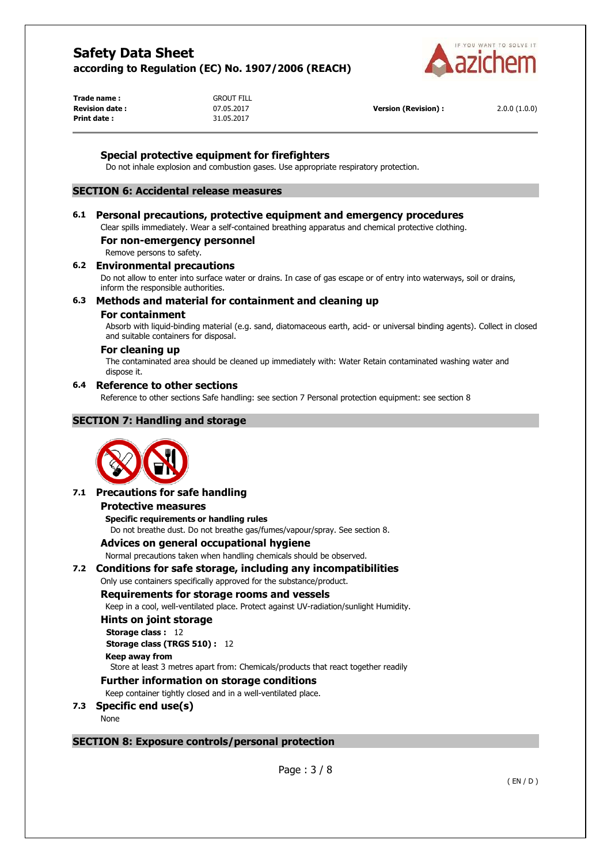

**Trade name :** GROUT FILL **Print date :** 31.05.2017

**Revision date :** 07.05.2017 **Version (Revision) :** 2.0.0 (1.0.0)

## **Special protective equipment for firefighters**

Do not inhale explosion and combustion gases. Use appropriate respiratory protection.

## **SECTION 6: Accidental release measures**

#### **6.1 Personal precautions, protective equipment and emergency procedures**

Clear spills immediately. Wear a self-contained breathing apparatus and chemical protective clothing.

#### **For non-emergency personnel**

Remove persons to safety.

## **6.2 Environmental precautions**

Do not allow to enter into surface water or drains. In case of gas escape or of entry into waterways, soil or drains, inform the responsible authorities.

## **6.3 Methods and material for containment and cleaning up**

#### **For containment**

Absorb with liquid-binding material (e.g. sand, diatomaceous earth, acid- or universal binding agents). Collect in closed and suitable containers for disposal.

#### **For cleaning up**

The contaminated area should be cleaned up immediately with: Water Retain contaminated washing water and dispose it.

#### **6.4 Reference to other sections**

Reference to other sections Safe handling: see section 7 Personal protection equipment: see section 8

#### **SECTION 7: Handling and storage**



#### **7.1 Precautions for safe handling**

#### **Protective measures**

**Specific requirements or handling rules**  Do not breathe dust. Do not breathe gas/fumes/vapour/spray. See section 8.

#### **Advices on general occupational hygiene**

Normal precautions taken when handling chemicals should be observed.

#### **7.2 Conditions for safe storage, including any incompatibilities**

Only use containers specifically approved for the substance/product.

#### **Requirements for storage rooms and vessels**

Keep in a cool, well-ventilated place. Protect against UV-radiation/sunlight Humidity.

#### **Hints on joint storage**

**Storage class :** 12 **Storage class (TRGS 510) :** 12 **Keep away from**  Store at least 3 metres apart from: Chemicals/products that react together readily

## **Further information on storage conditions**

Keep container tightly closed and in a well-ventilated place.

- **7.3 Specific end use(s)** 
	- None

#### **SECTION 8: Exposure controls/personal protection**

Page : 3 / 8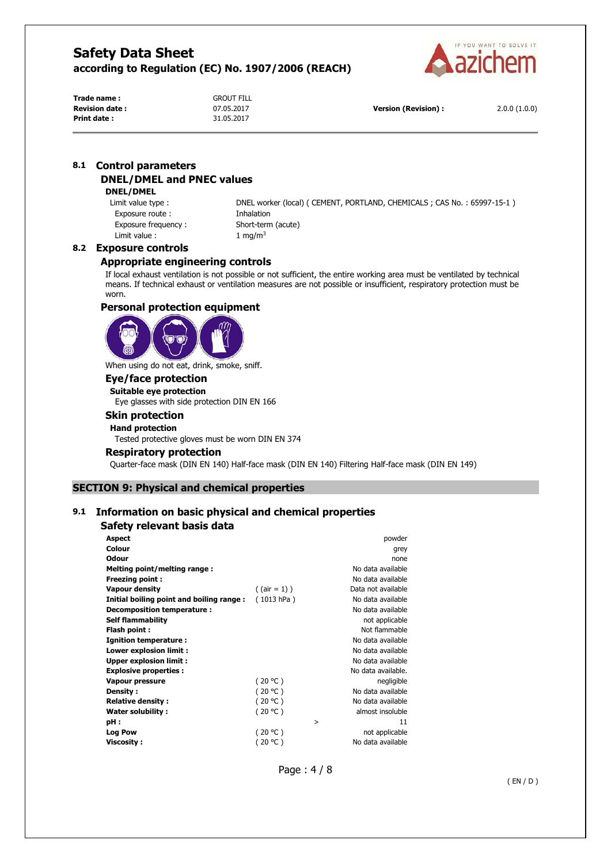

**Trade name :** GROUT FILL **Revision date :** 07.05.2017 **Version (Revision) :** 2.0.0 (1.0.0) **Print date :** 31.05.2017

## **8.1 Control parameters DNEL/DMEL and PNEC values**

#### **DNEL/DMEL**

Exposure route : Inhalation Exposure frequency : Short-term (acute) Limit value :  $1 \text{ mg/m}^3$ 

Limit value type : DNEL worker (local) ( CEMENT, PORTLAND, CHEMICALS ; CAS No. : 65997-15-1 )

#### **8.2 Exposure controls**

## **Appropriate engineering controls**

If local exhaust ventilation is not possible or not sufficient, the entire working area must be ventilated by technical means. If technical exhaust or ventilation measures are not possible or insufficient, respiratory protection must be worn.

## **Personal protection equipment**



When using do not eat, drink, smoke, sniff.

## **Eye/face protection**

**Suitable eye protection**  Eye glasses with side protection DIN EN 166

# **Skin protection**

## **Hand protection**

Tested protective gloves must be worn DIN EN 374

#### **Respiratory protection**

Quarter-face mask (DIN EN 140) Half-face mask (DIN EN 140) Filtering Half-face mask (DIN EN 149)

## **SECTION 9: Physical and chemical properties**

## **9.1 Information on basic physical and chemical properties**

## **Safety relevant basis data**

| <b>Aspect</b>                            |                 |   | powder             |
|------------------------------------------|-----------------|---|--------------------|
| Colour                                   |                 |   | grey               |
| <b>Odour</b>                             |                 |   | none               |
| Melting point/melting range:             |                 |   | No data available  |
| <b>Freezing point:</b>                   |                 |   | No data available  |
| <b>Vapour density</b>                    | $($ (air = 1) ) |   | Data not available |
| Initial boiling point and boiling range: | (1013 hPa)      |   | No data available  |
| Decomposition temperature:               |                 |   | No data available  |
| <b>Self flammability</b>                 |                 |   | not applicable     |
| Flash point :                            |                 |   | Not flammable      |
| <b>Ignition temperature:</b>             |                 |   | No data available  |
| Lower explosion limit :                  |                 |   | No data available  |
| <b>Upper explosion limit:</b>            |                 |   | No data available  |
| <b>Explosive properties:</b>             |                 |   | No data available. |
| Vapour pressure                          | (20 °C)         |   | negligible         |
| Density:                                 | (20 °C)         |   | No data available  |
| <b>Relative density:</b>                 | (20 °C)         |   | No data available  |
| Water solubility:                        | (20 °C)         |   | almost insoluble   |
| pH:                                      |                 | > | 11                 |
| <b>Log Pow</b>                           | (20 °C)         |   | not applicable     |
| <b>Viscosity:</b>                        | (20 °C )        |   | No data available  |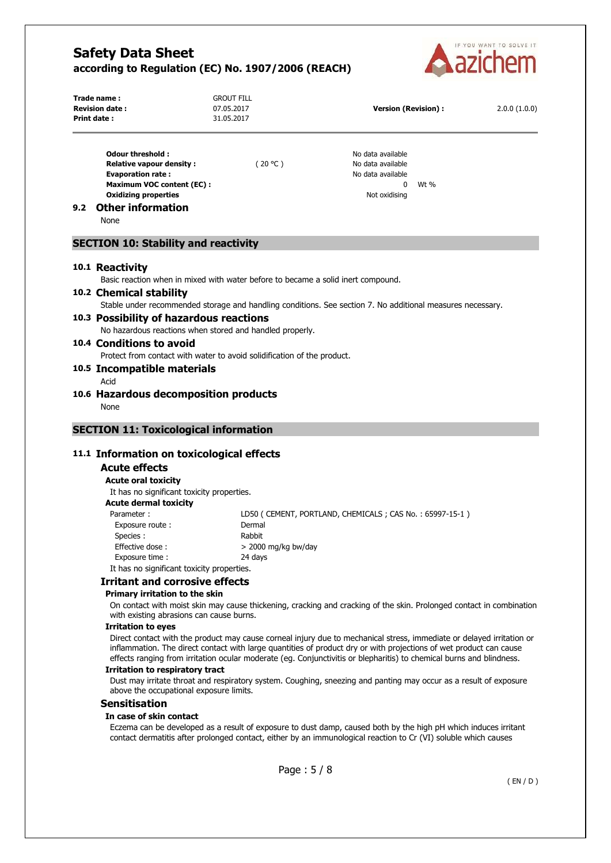

|     | Trade name:<br><b>Revision date:</b><br>Print date:                                                                                                                                                                                                                                                                                                                 | <b>GROUT FILL</b><br>07.05.2017<br>31.05.2017 | <b>Version (Revision):</b>                                                                                                                                                                                                         | 2.0.0(1.0.0) |
|-----|---------------------------------------------------------------------------------------------------------------------------------------------------------------------------------------------------------------------------------------------------------------------------------------------------------------------------------------------------------------------|-----------------------------------------------|------------------------------------------------------------------------------------------------------------------------------------------------------------------------------------------------------------------------------------|--------------|
|     | <b>Odour threshold:</b><br><b>Relative vapour density:</b><br><b>Evaporation rate:</b><br><b>Maximum VOC content (EC):</b><br><b>Oxidizing properties</b>                                                                                                                                                                                                           | (20 °C)                                       | No data available<br>No data available<br>No data available<br>$\mathbf{0}$<br>Wt %<br>Not oxidising                                                                                                                               |              |
| 9.2 | <b>Other information</b><br>None                                                                                                                                                                                                                                                                                                                                    |                                               |                                                                                                                                                                                                                                    |              |
|     | <b>SECTION 10: Stability and reactivity</b>                                                                                                                                                                                                                                                                                                                         |                                               |                                                                                                                                                                                                                                    |              |
|     | 10.1 Reactivity                                                                                                                                                                                                                                                                                                                                                     |                                               |                                                                                                                                                                                                                                    |              |
|     | Basic reaction when in mixed with water before to became a solid inert compound.<br>10.2 Chemical stability                                                                                                                                                                                                                                                         |                                               |                                                                                                                                                                                                                                    |              |
|     |                                                                                                                                                                                                                                                                                                                                                                     |                                               | Stable under recommended storage and handling conditions. See section 7. No additional measures necessary.                                                                                                                         |              |
|     | 10.3 Possibility of hazardous reactions                                                                                                                                                                                                                                                                                                                             |                                               |                                                                                                                                                                                                                                    |              |
|     | No hazardous reactions when stored and handled properly.                                                                                                                                                                                                                                                                                                            |                                               |                                                                                                                                                                                                                                    |              |
|     | 10.4 Conditions to avoid<br>Protect from contact with water to avoid solidification of the product.                                                                                                                                                                                                                                                                 |                                               |                                                                                                                                                                                                                                    |              |
|     | 10.5 Incompatible materials                                                                                                                                                                                                                                                                                                                                         |                                               |                                                                                                                                                                                                                                    |              |
|     | Acid                                                                                                                                                                                                                                                                                                                                                                |                                               |                                                                                                                                                                                                                                    |              |
|     | 10.6 Hazardous decomposition products<br>None                                                                                                                                                                                                                                                                                                                       |                                               |                                                                                                                                                                                                                                    |              |
|     | <b>SECTION 11: Toxicological information</b>                                                                                                                                                                                                                                                                                                                        |                                               |                                                                                                                                                                                                                                    |              |
|     |                                                                                                                                                                                                                                                                                                                                                                     |                                               |                                                                                                                                                                                                                                    |              |
|     | 11.1 Information on toxicological effects                                                                                                                                                                                                                                                                                                                           |                                               |                                                                                                                                                                                                                                    |              |
|     | <b>Acute effects</b>                                                                                                                                                                                                                                                                                                                                                |                                               |                                                                                                                                                                                                                                    |              |
|     | <b>Acute oral toxicity</b><br>It has no significant toxicity properties.                                                                                                                                                                                                                                                                                            |                                               |                                                                                                                                                                                                                                    |              |
|     | <b>Acute dermal toxicity</b>                                                                                                                                                                                                                                                                                                                                        |                                               |                                                                                                                                                                                                                                    |              |
|     | Parameter:                                                                                                                                                                                                                                                                                                                                                          |                                               | LD50 (CEMENT, PORTLAND, CHEMICALS; CAS No.: 65997-15-1)                                                                                                                                                                            |              |
|     | Exposure route:                                                                                                                                                                                                                                                                                                                                                     | Dermal                                        |                                                                                                                                                                                                                                    |              |
|     | Species:                                                                                                                                                                                                                                                                                                                                                            | Rabbit                                        |                                                                                                                                                                                                                                    |              |
|     | Effective dose:<br>Exposure time :                                                                                                                                                                                                                                                                                                                                  | > 2000 mg/kg bw/day<br>24 days                |                                                                                                                                                                                                                                    |              |
|     | It has no significant toxicity properties.                                                                                                                                                                                                                                                                                                                          |                                               |                                                                                                                                                                                                                                    |              |
|     | <b>Irritant and corrosive effects</b>                                                                                                                                                                                                                                                                                                                               |                                               |                                                                                                                                                                                                                                    |              |
|     | Primary irritation to the skin                                                                                                                                                                                                                                                                                                                                      |                                               |                                                                                                                                                                                                                                    |              |
|     | with existing abrasions can cause burns.                                                                                                                                                                                                                                                                                                                            |                                               | On contact with moist skin may cause thickening, cracking and cracking of the skin. Prolonged contact in combination                                                                                                               |              |
|     | <b>Irritation to eyes</b>                                                                                                                                                                                                                                                                                                                                           |                                               |                                                                                                                                                                                                                                    |              |
|     | Direct contact with the product may cause corneal injury due to mechanical stress, immediate or delayed irritation or<br>inflammation. The direct contact with large quantities of product dry or with projections of wet product can cause<br>effects ranging from irritation ocular moderate (eg. Conjunctivitis or blepharitis) to chemical burns and blindness. |                                               |                                                                                                                                                                                                                                    |              |
|     | Irritation to respiratory tract<br>Dust may irritate throat and respiratory system. Coughing, sneezing and panting may occur as a result of exposure<br>above the occupational exposure limits.                                                                                                                                                                     |                                               |                                                                                                                                                                                                                                    |              |
|     | <b>Sensitisation</b>                                                                                                                                                                                                                                                                                                                                                |                                               |                                                                                                                                                                                                                                    |              |
|     | In case of skin contact                                                                                                                                                                                                                                                                                                                                             |                                               | Eczema can be developed as a result of exposure to dust damp, caused both by the high pH which induces irritant<br>contact dermatitis after prolonged contact, either by an immunological reaction to Cr (VI) soluble which causes |              |
|     |                                                                                                                                                                                                                                                                                                                                                                     |                                               |                                                                                                                                                                                                                                    |              |
|     |                                                                                                                                                                                                                                                                                                                                                                     |                                               | Page: 5/8                                                                                                                                                                                                                          |              |
|     |                                                                                                                                                                                                                                                                                                                                                                     |                                               |                                                                                                                                                                                                                                    | (EN/D)       |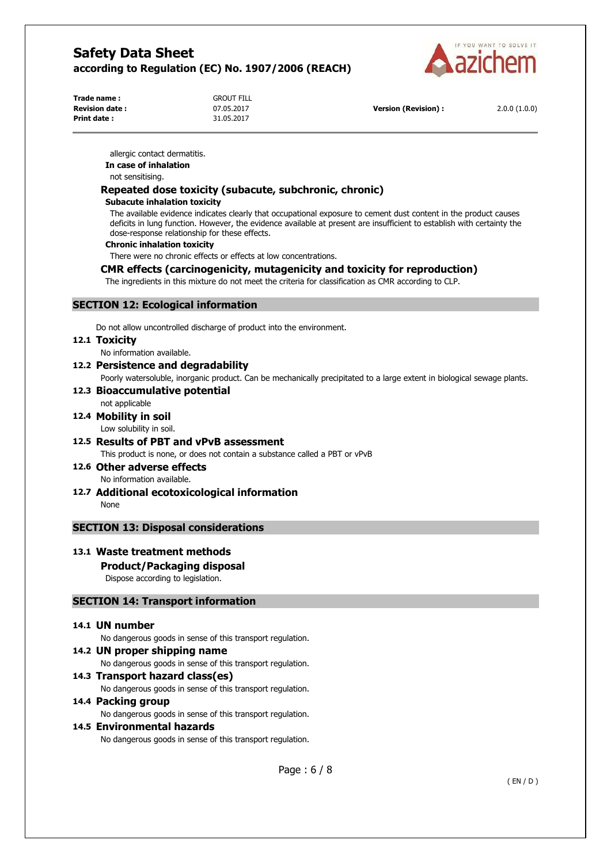

**Trade name :** GROUT FILL **Revision date :** 07.05.2017 **Version (Revision) :** 2.0.0 (1.0.0) **Print date :** 31.05.2017

allergic contact dermatitis. **In case of inhalation** 

not sensitising.

## **Repeated dose toxicity (subacute, subchronic, chronic)**

#### **Subacute inhalation toxicity**

The available evidence indicates clearly that occupational exposure to cement dust content in the product causes deficits in lung function. However, the evidence available at present are insufficient to establish with certainty the dose-response relationship for these effects.

#### **Chronic inhalation toxicity**

There were no chronic effects or effects at low concentrations.

## **CMR effects (carcinogenicity, mutagenicity and toxicity for reproduction)**

The ingredients in this mixture do not meet the criteria for classification as CMR according to CLP.

## **SECTION 12: Ecological information**

Do not allow uncontrolled discharge of product into the environment.

#### **12.1 Toxicity**

No information available.

**12.2 Persistence and degradability**  Poorly watersoluble, inorganic product. Can be mechanically precipitated to a large extent in biological sewage plants.

## **12.3 Bioaccumulative potential**

## not applicable

## **12.4 Mobility in soil**

Low solubility in soil.

# **12.5 Results of PBT and vPvB assessment**

This product is none, or does not contain a substance called a PBT or vPvB

**12.6 Other adverse effects**  No information available.

**12.7 Additional ecotoxicological information**  None

## **SECTION 13: Disposal considerations**

## **13.1 Waste treatment methods**

## **Product/Packaging disposal**

Dispose according to legislation.

## **SECTION 14: Transport information**

## **14.1 UN number**

No dangerous goods in sense of this transport regulation.

**14.2 UN proper shipping name**  No dangerous goods in sense of this transport regulation.

**14.3 Transport hazard class(es)**  No dangerous goods in sense of this transport regulation.

## **14.4 Packing group**

No dangerous goods in sense of this transport regulation.

## **14.5 Environmental hazards**

No dangerous goods in sense of this transport regulation.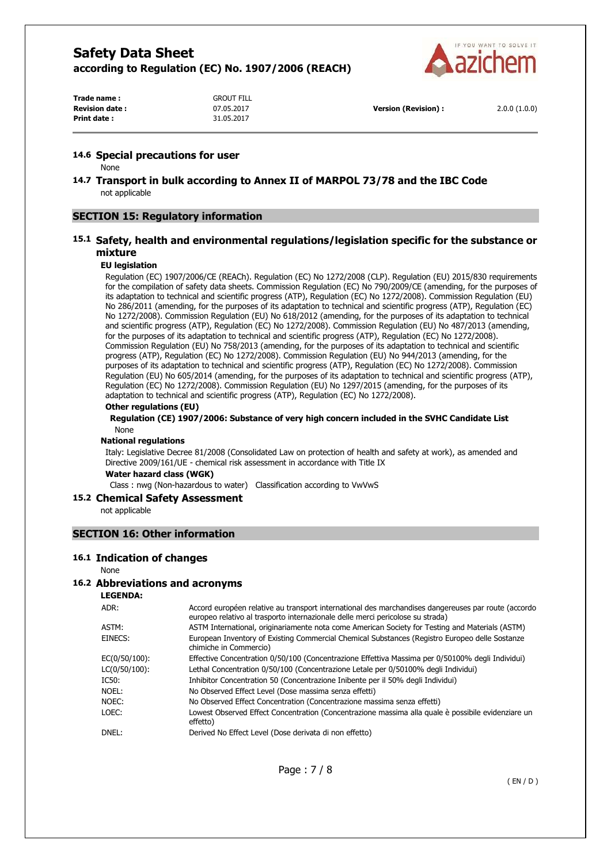

**Trade name :** GROUT FILL **Revision date :** 07.05.2017 **Version (Revision) :** 2.0.0 (1.0.0) **Print date :** 31.05.2017

#### **14.6 Special precautions for user**

None

**14.7 Transport in bulk according to Annex II of MARPOL 73/78 and the IBC Code**  not applicable

## **SECTION 15: Regulatory information**

## **15.1 Safety, health and environmental regulations/legislation specific for the substance or mixture**

#### **EU legislation**

Regulation (EC) 1907/2006/CE (REACh). Regulation (EC) No 1272/2008 (CLP). Regulation (EU) 2015/830 requirements for the compilation of safety data sheets. Commission Regulation (EC) No 790/2009/CE (amending, for the purposes of its adaptation to technical and scientific progress (ATP), Regulation (EC) No 1272/2008). Commission Regulation (EU) No 286/2011 (amending, for the purposes of its adaptation to technical and scientific progress (ATP), Regulation (EC) No 1272/2008). Commission Regulation (EU) No 618/2012 (amending, for the purposes of its adaptation to technical and scientific progress (ATP), Regulation (EC) No 1272/2008). Commission Regulation (EU) No 487/2013 (amending, for the purposes of its adaptation to technical and scientific progress (ATP), Regulation (EC) No 1272/2008). Commission Regulation (EU) No 758/2013 (amending, for the purposes of its adaptation to technical and scientific progress (ATP), Regulation (EC) No 1272/2008). Commission Regulation (EU) No 944/2013 (amending, for the purposes of its adaptation to technical and scientific progress (ATP), Regulation (EC) No 1272/2008). Commission Regulation (EU) No 605/2014 (amending, for the purposes of its adaptation to technical and scientific progress (ATP), Regulation (EC) No 1272/2008). Commission Regulation (EU) No 1297/2015 (amending, for the purposes of its adaptation to technical and scientific progress (ATP), Regulation (EC) No 1272/2008).

#### **Other regulations (EU)**

**Regulation (CE) 1907/2006: Substance of very high concern included in the SVHC Candidate List**  None

#### **National regulations**

Italy: Legislative Decree 81/2008 (Consolidated Law on protection of health and safety at work), as amended and Directive 2009/161/UE - chemical risk assessment in accordance with Title IX

**Water hazard class (WGK)** 

Class : nwg (Non-hazardous to water) Classification according to VwVwS

#### **15.2 Chemical Safety Assessment**

not applicable

## **SECTION 16: Other information**

#### **16.1 Indication of changes**

#### None

## **16.2 Abbreviations and acronyms**

**LEGENDA:**

| ADR:          | Accord européen relative au transport international des marchandises dangereuses par route (accordo<br>europeo relativo al trasporto internazionale delle merci pericolose su strada) |
|---------------|---------------------------------------------------------------------------------------------------------------------------------------------------------------------------------------|
| ASTM:         | ASTM International, originariamente nota come American Society for Testing and Materials (ASTM)                                                                                       |
| EINECS:       | European Inventory of Existing Commercial Chemical Substances (Registro Europeo delle Sostanze<br>chimiche in Commercio)                                                              |
| EC(0/50/100): | Effective Concentration 0/50/100 (Concentrazione Effettiva Massima per 0/50100% degli Individui)                                                                                      |
| LC(0/50/100): | Lethal Concentration 0/50/100 (Concentrazione Letale per 0/50100% degli Individui)                                                                                                    |
| IC50:         | Inhibitor Concentration 50 (Concentrazione Inibente per il 50% degli Individui)                                                                                                       |
| Noel:         | No Observed Effect Level (Dose massima senza effetti)                                                                                                                                 |
| NOEC:         | No Observed Effect Concentration (Concentrazione massima senza effetti)                                                                                                               |
| LOEC:         | Lowest Observed Effect Concentration (Concentrazione massima alla quale è possibile evidenziare un<br>effetto)                                                                        |
| DNEL:         | Derived No Effect Level (Dose derivata di non effetto)                                                                                                                                |
|               |                                                                                                                                                                                       |